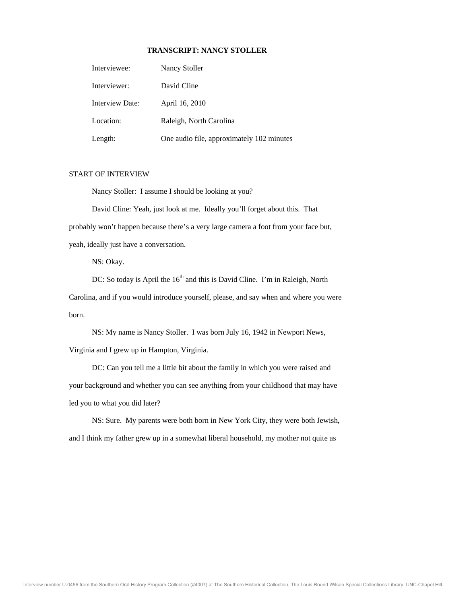## **TRANSCRIPT: NANCY STOLLER**

| Interviewee:    | Nancy Stoller                             |
|-----------------|-------------------------------------------|
| Interviewer:    | David Cline                               |
| Interview Date: | April 16, 2010                            |
| Location:       | Raleigh, North Carolina                   |
| Length:         | One audio file, approximately 102 minutes |

## START OF INTERVIEW

Nancy Stoller: I assume I should be looking at you?

David Cline: Yeah, just look at me. Ideally you'll forget about this. That probably won't happen because there's a very large camera a foot from your face but, yeah, ideally just have a conversation.

NS: Okay.

DC: So today is April the  $16<sup>th</sup>$  and this is David Cline. I'm in Raleigh, North Carolina, and if you would introduce yourself, please, and say when and where you were born .

 NS: M y name is Nancy Stoller. I was born July 16, 1942 in Newport News, Virg inia and I grew up in Hampton, Virginia.

 DC: Can you tell me a little bit about the family in which you were raised and your background and whether you can see anything from your childhood that may have led you to what you did later?

NS: Sure. My parents were both born in New York City, they were both Jewish, and I think my father grew up in a somewhat liberal household, my mother not quite as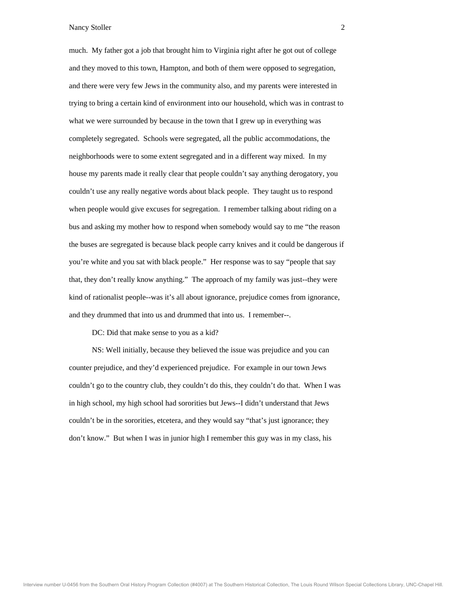much. My father got a job that brought him to Virginia right after he got out of college and they moved to this town, Hampton, and both of them were opposed to segregation, and there were very few Jews in the community also, and my parents were interested in tryin g to bring a certain kind of environment into our household, which was in contrast to wha t we were surrounded by because in the town that I grew up in everything was com pletely segregated. Schools were segregated, all the public accommodations, the neighborhoods were to some extent segregated and in a different way mixed. In my house my parents made it really clear that people couldn't say anything derogatory, you coul dn't use any really negative words about black people. They taught us to respond whe n people would give excuses for segregation. I remember talking about riding on a bus and asking my mother how to respond when somebody would say to me "the reason the buses are segregated is because black people carry knives and it could be dangerous if you're white and you sat with black people." Her response was to say "people that say that, they don't really know anything." The approach of my family was just--they were kind of rationalist people--was it's all about ignorance, prejudice comes from ignorance, and they drummed that into us and drummed that into us. I remember--.

DC: Did that make sense to you as a kid?

counter prejudice, and they'd experienced prejudice. For example in our town Jews couldn't go to the country club, they couldn't do this, they couldn't do that. When I was in high school, my high school had sororities but Jews--I didn't understand that Jews couldn't be in the sororities, etcetera, and they would say "that's just ignorance; they don 't know." But when I was in junior high I remember this guy was in my class, his NS: Well initially, because they believed the issue was prejudice and you can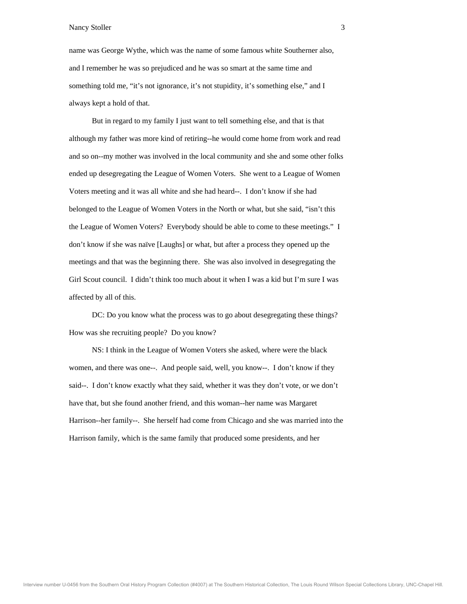name was George Wythe, which was the name of some famous white Southerner also, and I remember he was so prejudiced and he was so smart at the same time and som ething told me, "it's not ignorance, it's not stupidity, it's something else," and I always kept a hold of that.

But in regard to my family I just want to tell something else, and that is that although my father was more kind of retiring--he would come home from work and read and so on--my mother was involved in the local community and she and some other folks ended up desegregating the League of Women Voters. She went to a League of Women Vot ers meeting and it was all white and she had heard--. I don't know if she had belo nged to the League of Women Voters in the North or what, but she said, "isn't this the League of Women Voters? Everybody should be able to come to these meetings." I don 't know if she was naïve [Laughs] or what, but after a process they opened up the meetings and that was the beginning there. She was also involved in desegregating the Girl Scout council. I didn't think too much about it when I was a kid but I'm sure I was affe cted by all of this.

How was she recruiting people? Do you know? DC: Do you know what the process was to go about desegregating these things?

NS: I think in the League of Women Voters she asked, where were the black women, and there was one--. And people said, well, you know--. I don't know if they said--. I don't know exactly what they said, whether it was they don't vote, or we don't have that, but she found another friend, and this woman--her name was Margaret Harrison--her family--. She herself had come from Chicago and she was married into the Har rison family, which is the same family that produced some presidents, and her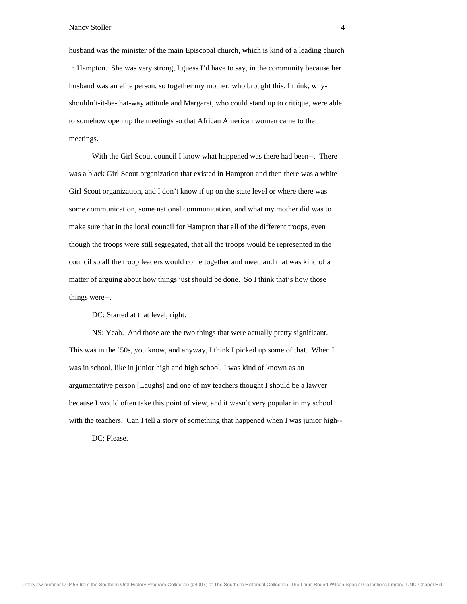husband was the minister of the main Episcopal church, which is kind of a leading church in Hampton. She was very strong, I guess I'd have to say, in the community because her husb and was an elite person, so together my mother, who brought this, I think, whyshou ldn't-it-be-that-way attitude and Margaret, who could stand up to critique, were able to so mehow open up the meetings so that African American women came to the mee tings.

With the Girl Scout council I know what happened was there had been--. There was a black Girl Scout organization that existed in Hampton and then there was a white Girl Scout or ganization, and I don't know if up on the state level or where there was som e communication, some national communication, and what my mother did was to mak e sure that in the local council for Hampton that all of the different troops, even thou gh the troops were still segregated, that all the troops would be represented in the council so all the troop leaders would come together and meet, and that was kind of a matter of arguing about how things just should be done. So I think that's how those thin gs were--.

DC: Started at that level, right.

This was in the '50s, you know, and anyway, I think I picked up some of that. When I was in school, like in junior high and high school, I was kind of known as an argumentative person [Laughs] and one of my teachers thought I should be a lawyer because I wo uld often take this point of view, and it wasn't very popular in my school with the teachers. Can I tell a story of something that happened when I was junior high-- NS: Yeah. And those are the two things that were actually pretty significant.

DC: Please.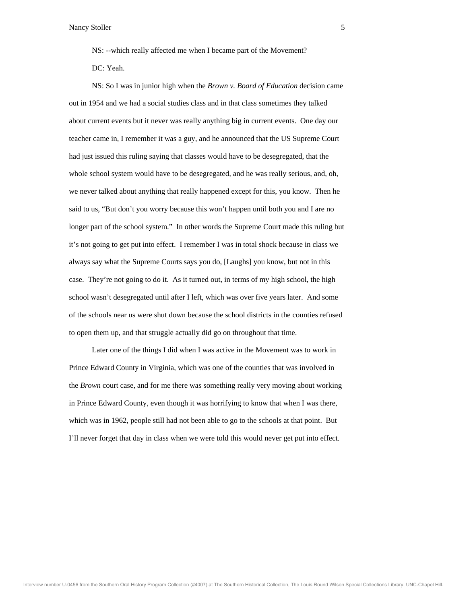NS: --which really affected me when I became part of the Movement? DC: Yeah.

NS: So I was in junior high when the *Brown v. Board of Education* decision came out in 1954 a nd we had a social studies class and in that class sometimes they talked abou t current events but it never was really anything big in current events. One day our teac her came in, I remember it was a guy, and he announced that the US Supreme Court had just issued this ruling saying that classes would have to be desegregated, that the whole school system would have to be desegregated, and he was really serious, and, oh, we n ever talked about anything that really happened except for this, you know. Then he said to us, "But don't you worry because this won't happen until both you and I are no long er part of the school system." In other words the Supreme Court made this ruling but it's not going to get put into effect. I remember I was in total shock because in class we always say what the Supreme Courts says you do, [Laughs] you know, but not in this case. They're not going to do it. As it turned out, in terms of my high school, the high scho ol wasn't desegregated until after I left, which was over five years later. And some of th e schools near us were shut down because the school districts in the counties refused to o pen them up, and that struggle actually did go on throughout that time.

Prince Edward County in Virginia, which was one of the counties that was involved in the *Brown* court case, and for me there was something really very moving about working in P rince Edward County, even though it was horrifying to know that when I was there, which was in 1962, people still had not been able to go to the schools at that point. But I'll never forget that day in class when we were told this would never get put into effect. Later one of the things I did when I was active in the Movement was to work in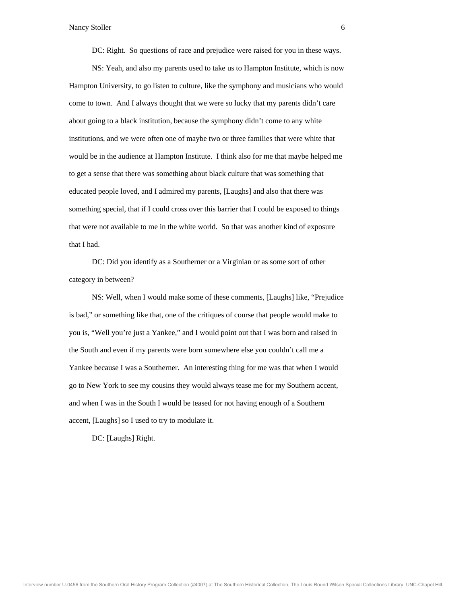DC: Right. So questions of race and prejudice were raised for you in these ways.

 NS: Yeah, and also my parents used to take us to Hampton Institute, which is now Hampton University, to go listen to culture, like the symphony and musicians who would com e to town. And I always thought that we were so lucky that my parents didn't care abou t going to a black institution, because the symphony didn't come to any white inst itutions, and we were often one of maybe two or three families that were white that would be in the audience at Hampton Institute. I think also for me that maybe helped me to get a sense that there was something about black culture that was something that educ ated people loved, and I admired my parents, [Laughs] and also that there was som ething special, that if I could cross over this barrier that I could be exposed to things that were not available to me in the white world. So that was another kind of exposure that I had.

 DC: Did you identify as a Southerner or a Virginian or as some sort of other category in between?

NS: Well, when I would make some of these comments, [Laughs] like, "Prejudice is bad," or something like that, one of the critiques of course that people would make to you is, "Well you're just a Yankee," and I would point out that I was born and raised in the South an d even if my parents were born somewhere else you couldn't call me a Yankee because I was a Southerner. An interesting thing for me was that when I would go to New York to see my cousins they would always tease me for my Southern accent, and when I was in the South I would be teased for not having enough of a Southern acce nt, [Laughs] so I used to try to modulate it.

DC: [Laughs] Right.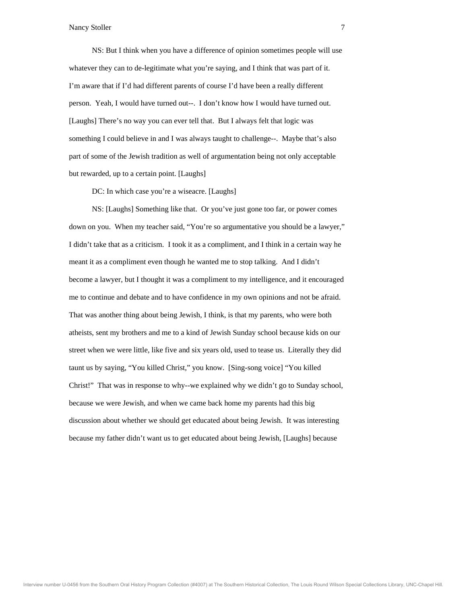NS: But I think when you have a difference of opinion sometimes people will use whatever they can to de-legitimate what you're saying, and I think that was part of it. I'm aware that if I'd had different parents of course I'd have been a really different pers on. Yeah, I would have turned out--. I don't know how I would have turned out. [Laughs] There's no way you can ever tell that. But I always felt that logic was som ething I could believe in and I was always taught to challenge--. Maybe that's also part of some of the Jewish tradition as well of argumentation being not only acceptable but rewarded, up to a certain point. [Laughs]

DC: In which case you're a wiseacre. [Laughs]

NS: [Laughs] Something like that. Or you've just gone too far, or power comes down on you. When my teacher said, "You're so argumentative you should be a lawyer," I didn't take that as a criticism. I took it as a compliment, and I think in a certain way he meant it as a compliment even though he wanted me to stop talking. And I didn't become a lawyer, but I thought it was a compliment to my intelligence, and it encouraged me to continue and debate and to have confidence in my own opinions and not be afraid. Tha t was another thing about being Jewish, I think, is that my parents, who were both athe ists, sent my brothers and me to a kind of Jewish Sunday school because kids on our stre et when we were little, like five and six years old, used to tease us. Literally they did taunt us by saying, "You killed Christ," you know. [Sing-song voice] "You killed Christ!" That was in response to why--we explained why we didn't go to Sunday school, beca use we were Jewish, and when we came back home my parents had this big disc ussion about whether we should get educated about being Jewish. It was interesting beca use my father didn't want us to get educated about being Jewish, [Laughs] because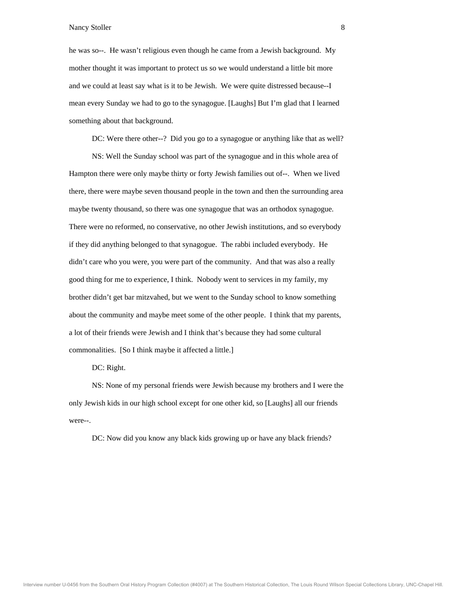he was so--. He wasn't religious even though he came from a Jewish background. My mother thought it was important to protect us so we would understand a little bit more and we could at least say what is it to be Jewish. We were quite distressed because--I mea n every Sunday we had to go to the synagogue. [Laughs] But I'm glad that I learned som ething about that background.

DC: Were there other--? Did you go to a synagogue or anything like that as well?

 NS: Well the Sunday school was part of the synagogue and in this whole area of Hampton there were only maybe thirty or forty Jewish families out of--. When we lived there, there were maybe seven thousand people in the town and then the surrounding area may be twenty thousand, so there was one synagogue that was an orthodox synagogue. The re were no reformed, no conservative, no other Jewish institutions, and so everybody if th ey did anything belonged to that synagogue. The rabbi included everybody. He didn't care who you were, you were part of the community. And that was also a really good thing for me to experience, I think. Nobody went to services in my family, my brot her didn't get bar mitzvahed, but we went to the Sunday school to know something abo ut the community and maybe meet some of the other people. I think that my parents, a lot of their friends were Jewish and I think that's because they had some cultural com monalities. [So I think maybe it affected a little.]

DC: Right.

 NS: None of my personal friends were Jewish because my brothers and I were the only Jewish kids in our high school except for one other kid, so [Laughs] all our friends wer e--.

DC: Now did you know any black kids growing up or have any black friends?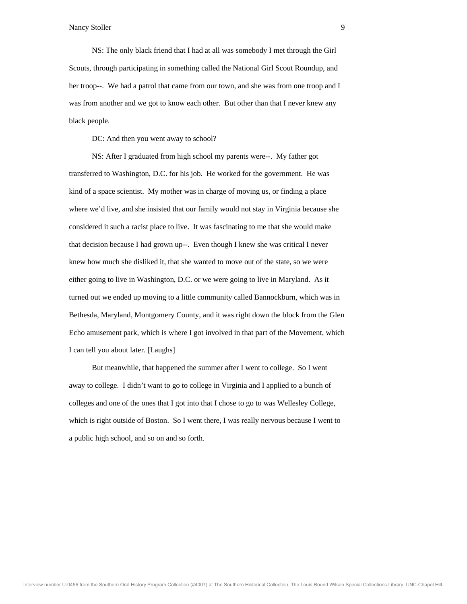NS: The only black friend that I had at all was somebody I met through the Girl Scouts, through participating in something called the National Girl Scout Roundup, and her troop--. We had a patrol that came from our town, and she was from one troop and I was from another and we got to know each other. But other than that I never knew any blac k people.

DC: And then you went away to school?

 NS: After I graduated from high school my parents were--. My father got transferred to Washington, D.C. for his job. He worked for the government. He was kind of a spa ce scientist. My mother was in charge of moving us, or finding a place whe re we'd live, and she insisted that our family would not stay in Virginia because she cons idered it such a racist place to live. It was fascinating to me that she would make that decision because I had grown up--. Even though I knew she was critical I never knew how much she disliked it, that she wanted to move out of the state, so we were either going to live in Washington, D.C. or we were going to live in Maryland. As it turn ed out we ended up moving to a little community called Bannockburn, which was in Beth esda, Maryland, Montgomery County, and it was right down the block from the Glen Ech o amusement park, which is where I got involved in that part of the Movement, which I ca n tell you about later. [Laughs]

 But meanwhile, that happened the summer after I went to college. So I went away to college. I didn't want to go to college in Virginia and I applied to a bunch of coll eges and one of the ones that I got into that I chose to go to was Wellesley College, which is right outside of Boston. So I went there, I was really nervous because I went to a public high school, and so on and so forth.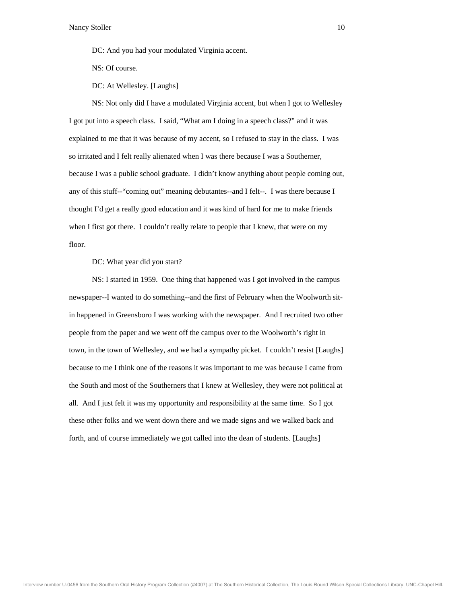DC: And you had your modulated Virginia accent.

NS: Of course.

DC: At Wellesley. [Laughs]

NS: Not only did I have a modulated Virginia accent, but when I got to Wellesley I got put into a speech class. I said, "What am I doing in a speech class?" and it was expl ained to me that it was because of my accent, so I refused to stay in the class. I was so irritated and I felt really alienated when I was there because I was a Southerner, because I was a public school graduate. I didn't know anything about people coming out, any of this stuff--"coming out" meaning debutantes--and I felt--. I was there because I thou ght I'd get a really good education and it was kind of hard for me to make friends whe n I first got there. I couldn't really relate to people that I knew, that were on my floo r.

DC: What year did you start?

 NS: I started in 1959. One thing that happened was I got involved in the campus newspaper--I wanted to do something--and the first of February when the Woolworth sitin happened in Greensboro I was working with the newspaper. And I recruited two other people from the paper and we went off the campus over to the Woolworth's right in tow n, in the town of Wellesley, and we had a sympathy picket. I couldn't resist [Laughs] because to me I think one of the reasons it was important to me was because I came from the South and most of the Southerners that I knew at Wellesley, they were not political at all. And I just felt it was my opportunity and responsibility at the same time. So I got thes e other folks and we went down there and we made signs and we walked back and forth , and of course immediately we got called into the dean of students. [Laughs]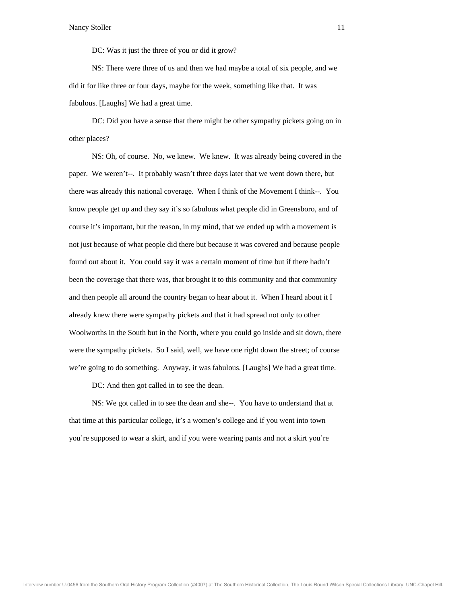DC: Was it just the three of you or did it grow?

 NS: There were three of us and then we had maybe a total of six people, and we did it for like three or four days, maybe for the week, something like that. It was fabu lous. [Laughs] We had a great time.

DC: Did you have a sense that there might be other sympathy pickets going on in other places?

 NS: Oh, of course. No, we knew. We knew. It was already being covered in the paper. We weren't--. It probably wasn't three days later that we went down there, but there was already this national coverage. When I think of the Movement I think--. You kno w people get up and they say it's so fabulous what people did in Greensboro, and of cour se it's important, but the reason, in my mind, that we ended up with a movement is not j ust because of what people did there but because it was covered and because people found out about it. You could say it was a certain moment of time but if there hadn't been the coverage that there was, that brought it to this community and that community and then people all around the country began to hear about it. When I heard about it I alre ady knew there were sympathy pickets and that it had spread not only to other Woo lworths in the South but in the North, where you could go inside and sit down, there were the sympathy pickets. So I said, well, we have one right down the street; of course we're going to do something. Anyway, it was fabulous. [Laughs] We had a great time.

DC: And then got called in to see the dean.

that time at this particular college, it's a women's college and if you went into town you 're supposed to wear a skirt, and if you were wearing pants and not a skirt you're NS: We got called in to see the dean and she--. You have to understand that at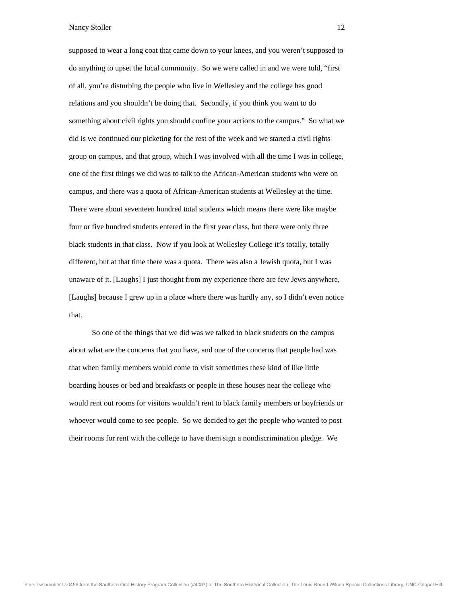supposed to wear a long coat that came down to your knees, and you weren't supposed to do anything to upset the local community. So we were called in and we were told, "first of a ll, you're disturbing the people who live in Wellesley and the college has good rela tions and you shouldn't be doing that. Secondly, if you think you want to do som ething about civil rights you should confine your actions to the campus." So what we did i s we continued our picketing for the rest of the week and we started a civil rights group on campus, and that group, which I was involved with all the time I was in college, one of the first things we did was to talk to the African-American students who were on cam pus, and there was a quota of African-American students at Wellesley at the time. The re were about seventeen hundred total students which means there were like maybe four or five hundred students entered in the first year class, but there were only three blac k students in that class. Now if you look at Wellesley College it's totally, totally different, but at that time there was a quota. There was also a Jewish quota, but I was unaware of it. [Laughs] I just thought from my experience there are few Jews anywhere, [Lau ghs] because I grew up in a place where there was hardly any, so I didn't even notice that .

abou t what are the concerns that you have, and one of the concerns that people had was that when family members would come to visit sometimes these kind of like little boarding houses or bed and breakfasts or people in these houses near the college who would rent o ut rooms for visitors wouldn't rent to black family members or boyfriends or who ever would come to see people. So we decided to get the people who wanted to post thei r rooms for rent with the college to have them sign a nondiscrimination pledge. We So one of the things that we did was we talked to black students on the campus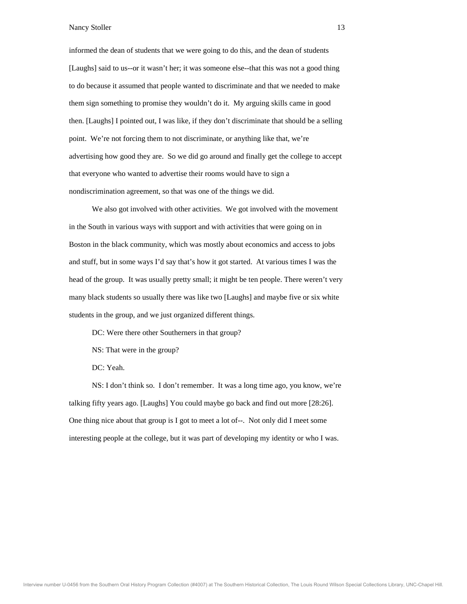informed the dean of students that we were going to do this, and the dean of students [Laughs] said to us--or it wasn't her; it was someone else--that this was not a good thing to d o because it assumed that people wanted to discriminate and that we needed to make them sign something to promise they wouldn't do it. My arguing skills came in good then . [Laughs] I pointed out, I was like, if they don't discriminate that should be a selling poin t. We're not forcing them to not discriminate, or anything like that, we're advertising how good they are. So we did go around and finally get the college to accept that everyone who wanted to advertise their rooms would have to sign a non discrimination agreement, so that was one of the things we did.

in th e South in various ways with support and with activities that were going on in Boston in the black community, which was mostly about economics and access to jobs and stuff, but in some ways I'd say that's how it got started. At various times I was the head of the group. It was usually pretty small; it might be ten people. There weren't very man y black students so usually there was like two [Laughs] and maybe five or six white stud ents in the group, and we just organized different things. We also got involved with other activities. We got involved with the movement

DC: Were there other Southerners in that group?

NS: That were in the group?

DC: Yeah.

 NS: I don't think so. I don't remember. It was a long time ago, you know, we're talking fifty years ago. [Laughs] You could maybe go back and find out more [28:26]. One thing nice about that group is I got to meet a lot of--. Not only did I meet some interesting people at the college, but it was part of developing my identity or who I was.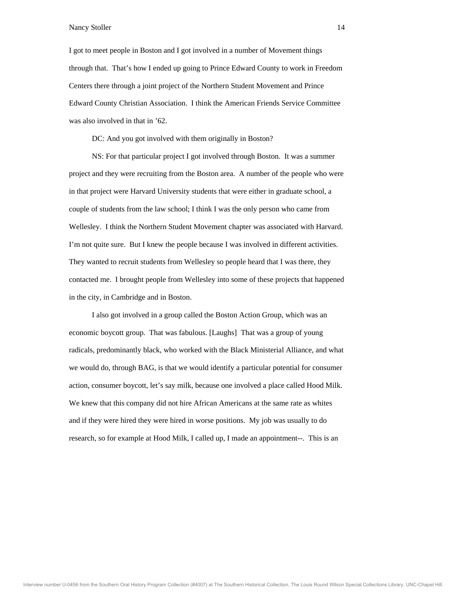I got to meet people in Boston and I got involved in a number of Movement things through that. That's how I ended up going to Prince Edward County to work in Freedom Centers there through a joint project of the Northern Student Movement and Prince Edw ard County Christian Association. I think the American Friends Service Committee was also involved in that in '62.

DC: And you got involved with them originally in Boston?

 NS: For that particular project I got involved through Boston. It was a summer project and they were recruiting from the Boston area. A number of the people who were in that project were Harvard University students that were either in graduate school, a coup le of students from the law school; I think I was the only person who came from Wel lesley. I think the Northern Student Movement chapter was associated with Harvard. I'm not quite sure. But I knew the people because I was involved in different activities. They wanted to recruit students from Wellesley so people heard that I was there, they contacted me. I brought people from Wellesley into some of these projects that happened in th e city, in Cambridge and in Boston.

econ omic boycott group. That was fabulous. [Laughs] That was a group of young radicals, predominantly black, who worked with the Black Ministerial Alliance, and what we would do, through BAG, is that we would identify a particular potential for consumer action, consumer boycott, let's say milk, because one involved a place called Hood Milk. We knew that this company did not hire African Americans at the same rate as whites and if they were hired they were hired in worse positions. My job was usually to do rese arch, so for example at Hood Milk, I called up, I made an appointment--. This is an I also got involved in a group called the Boston Action Group, which was an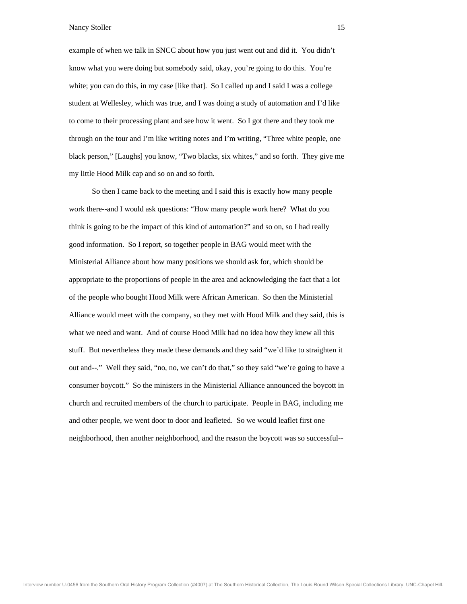example of when we talk in SNCC about how you just went out and did it. You didn't know what you were doing but somebody said, okay, you're going to do this. You're whit e; you can do this, in my case [like that]. So I called up and I said I was a college stud ent at Wellesley, which was true, and I was doing a study of automation and I'd like to c ome to their processing plant and see how it went. So I got there and they took me thro ugh on the tour and I'm like writing notes and I'm writing, "Three white people, one black person," [Laughs] you know, "Two blacks, six whites," and so forth. They give me my little Hood Milk cap and so on and so forth.

work there--and I would ask questions: "How many people work here? What do you think is goin g to be the impact of this kind of automation?" and so on, so I had really goo d information. So I report, so together people in BAG would meet with the Ministerial Alliance about how many positions we should ask for, which should be appropriate to the proportions of people in the area and acknowledging the fact that a lot of th e people who bought Hood Milk were African American. So then the Ministerial Alli ance would meet with the company, so they met with Hood Milk and they said, this is wha t we need and want. And of course Hood Milk had no idea how they knew all this stuf f. But nevertheless they made these demands and they said "we'd like to straighten it out and--." Well they said, "no, no, we can't do that," so they said "we're going to have a consumer boycott." So the ministers in the Ministerial Alliance announced the boycott in chu rch and recruited members of the church to participate. People in BAG, including me and other people, we went door to door and leafleted. So we would leaflet first one neig hborhood, then another neighborhood, and the reason the boycott was so successful-- So then I came back to the meeting and I said this is exactly how many people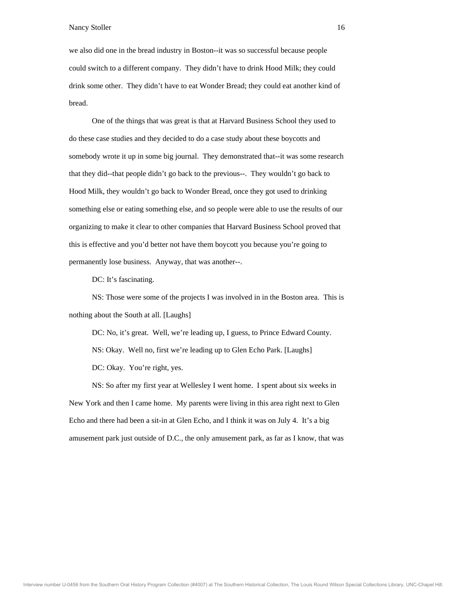we also did one in the bread industry in Boston--it was so successful because people could switch to a different company. They didn't have to drink Hood Milk; they could drin k some other. They didn't have to eat Wonder Bread; they could eat another kind of brea d.

One of the things that was great is that at Harvard Business School they used to do these case studies and they decided to do a case study about these boycotts and somebody wrote it up in some big journal. They demonstrated that--it was some research that they did--that people didn't go back to the previous--. They wouldn't go back to Hoo d Milk, they wouldn't go back to Wonder Bread, once they got used to drinking som ething else or eating something else, and so people were able to use the results of our orga nizing to make it clear to other companies that Harvard Business School proved that this is effective and you'd better not have them boycott you because you're going to permanently lose business. Anyway, that was another--.

DC: It's fascinating.

noth ing about the South at all. [Laughs] NS: Those were some of the projects I was involved in in the Boston area. This is

DC: No, it's great. Well, we're leading up, I guess, to Prince Edward County. NS: O kay. Well no, first we're leading up to Glen Echo Park. [Laughs] DC: Okay. You're right, yes.

 NS: So after my first year at Wellesley I went home. I spent about six weeks in New York and then I came home. My parents were living in this area right next to Glen Echo and the re had been a sit-in at Glen Echo, and I think it was on July 4. It's a big amusement park just outside of D.C., the only amusement park, as far as I know, that was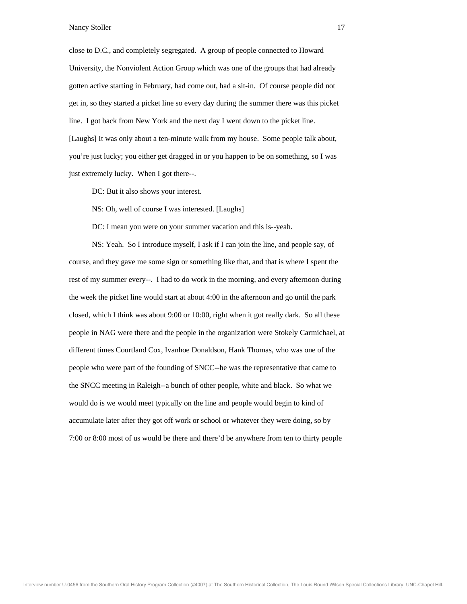close to D.C., and completely segregated. A group of people connected to Howard University, the Nonviolent Action Group which was one of the groups that had already gott en active starting in February, had come out, had a sit-in. Of course people did not get in, so they started a picket line so every day during the summer there was this picket line . I got back from New York and the next day I went down to the picket line. [Laughs] It was only about a ten-minute walk from my house. Some people talk about, you're just lucky; you either get dragged in or you happen to be on something, so I was just extremely lucky. When I got there--.

DC: But it also shows your interest.

NS: Oh, well of course I was interested. [Laughs]

DC: I mean you were on your summer vacation and this is--yeah.

NS: Yeah. So I introduce myself, I ask if I can join the line, and people say, of course, and they gave me some sign or something like that, and that is where I spent the rest of my summer every--. I had to do work in the morning, and every afternoon during the week the picket line would start at about 4:00 in the afternoon and go until the park clos ed, which I think was about 9:00 or 10:00, right when it got really dark. So all these peo ple in NAG were there and the people in the organization were Stokely Carmichael, at diff erent times Courtland Cox, Ivanhoe Donaldson, Hank Thomas, who was one of the people who were part of the founding of SNCC--he was the representative that came to the SNCC meeting in Raleigh--a bunch of other people, white and black. So what we wou ld do is we would meet typically on the line and people would begin to kind of accu mulate later after they got off work or school or whatever they were doing, so by 7:00 or 8:00 most of us would be there and there'd be anywhere from ten to thirty people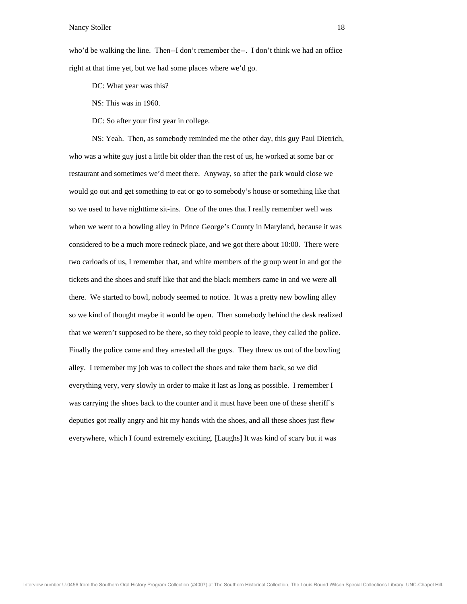who'd be walking the line. Then--I don't remember the--. I don't think we had an office right at that time yet, but we had some places where we'd go.

DC: What year was this?

NS: T his was in 1960.

DC: So after your first year in college.

NS: Yeah. Then, as somebody reminded me the other day, this guy Paul Dietrich, who was a white guy just a little bit older than the rest of us, he worked at some bar or restaurant and sometimes we'd meet there. Anyway, so after the park would close we wou ld go out and get something to eat or go to somebody's house or something like that so w e used to have nighttime sit-ins. One of the ones that I really remember well was whe n we went to a bowling alley in Prince George's County in Maryland, because it was cons idered to be a much more redneck place, and we got there about 10:00. There were two carloads of us, I remember that, and white members of the group went in and got the tickets and the shoes and stuff like that and the black members came in and we were all ther e. We started to bowl, nobody seemed to notice. It was a pretty new bowling alley so w e kind of thought maybe it would be open. Then somebody behind the desk realized that we weren't supposed to be there, so they told people to leave, they called the police. Fina lly the police came and they arrested all the guys. They threw us out of the bowling alley. I remember my job was to collect the shoes and take them back, so we did everything very, very slowly in order to make it last as long as possible. I remember I was carrying the shoes back to the counter and it must have been one of these sheriff's dep uties got really angry and hit my hands with the shoes, and all these shoes just flew ever ywhere, which I found extremely exciting. [Laughs] It was kind of scary but it was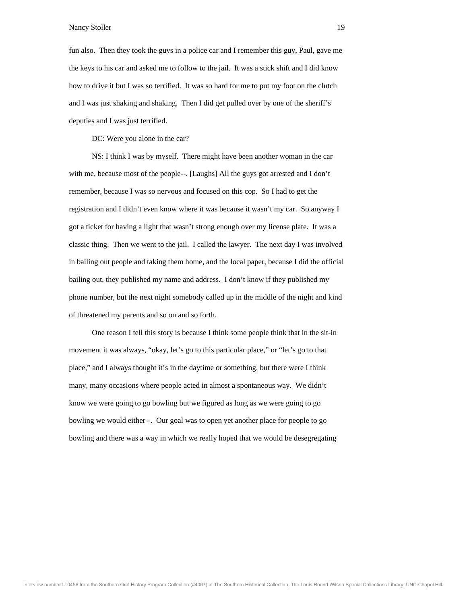fun also. Then they took the guys in a police car and I remember this guy, Paul, gave me the keys to his car and asked me to follow to the jail. It was a stick shift and I did know how to drive it but I was so terrified. It was so hard for me to put my foot on the clutch and I was just shaking and shaking. Then I did get pulled over by one of the sheriff's dep uties and I was just terrified.

DC: Were you alone in the car?

 NS: I think I was by myself. There might have been another woman in the car with me, because most of the people--. [Laughs] All the guys got arrested and I don't remember, b ecause I was so nervous and focused on this cop. So I had to get the regi stration and I didn't even know where it was because it wasn't my car. So anyway I got a ticket for having a light that wasn't strong enough over my license plate. It was a clas sic thing. Then we went to the jail. I called the lawyer. The next day I was involved in bailing out people and taking them home, and the local paper, because I did the official bailing out, they published my name and address. I don't know if they published my pho ne number, but the next night somebody called up in the middle of the night and kind of th reatened my parents and so on and so forth.

mov ement it was always, "okay, let's go to this particular place," or "let's go to that place," and I always thought it's in the daytime or something, but there were I think many, many occasions where people acted in almost a spontaneous way. We didn't know we were going to go bowling but we figured as long as we were going to go bow ling we would either--. Our goal was to open yet another place for people to go bow ling and there was a way in which we really hoped that we would be desegregating One reason I tell this story is because I think some people think that in the sit-in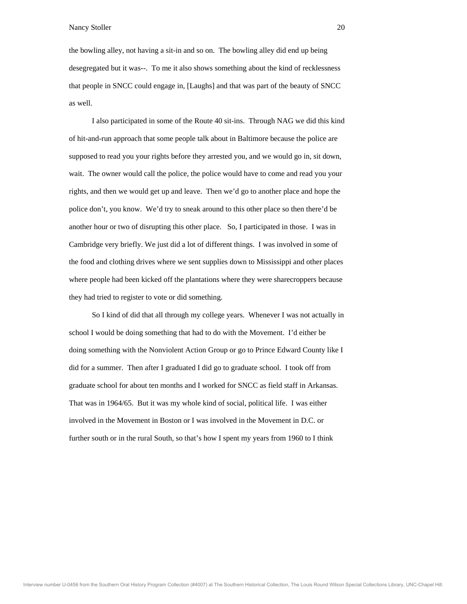the bowling alley, not having a sit-in and so on. The bowling alley did end up being desegregated but it was--. To me it also shows something about the kind of recklessness that people in SNCC could engage in, [Laughs] and that was part of the beauty of SNCC as w ell.

I also participated in some of the Route 40 sit-ins. Through NAG we did this kind of hit-and-run approach that some people talk about in Baltimore because the police are supposed to read you your rights before they arrested you, and we would go in, sit down, wait. The owner would call the police, the police would have to come and read you your righ ts, and then we would get up and leave. Then we'd go to another place and hope the poli ce don't, you know. We'd try to sneak around to this other place so then there'd be ano ther hour or two of disrupting this other place. So, I participated in those. I was in Cam bridge very briefly. We just did a lot of different things. I was involved in some of the food and clothing drives where we sent supplies down to Mississippi and other places where people had been kicked off the plantations where they were sharecroppers because they had tried to register to vote or did something.

scho ol I would be doing something that had to do with the Movement. I'd either be doing something with the Nonviolent Action Group or go to Prince Edward County like I did for a summer. Then after I graduated I did go to graduate school. I took off from graduate school for about ten months and I worked for SNCC as field staff in Arkansas. Tha t was in 1964/65. But it was my whole kind of social, political life. I was either invo lved in the Movement in Boston or I was involved in the Movement in D.C. or furt her south or in the rural South, so that's how I spent my years from 1960 to I think So I kind of did that all through my college years. Whenever I was not actually in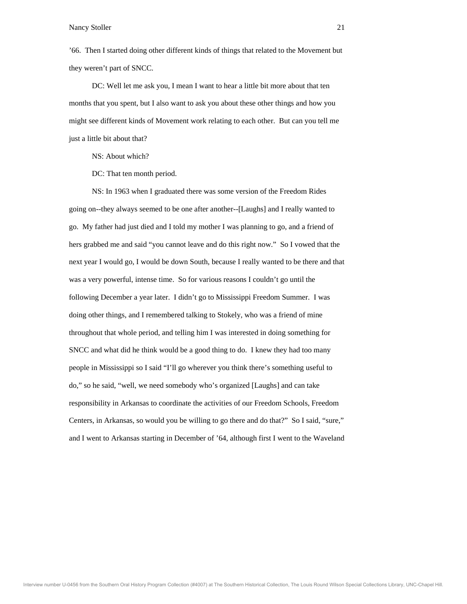'66. Then I started doing other different kinds of things that related to the Movement but they weren't part of SNCC.

DC: Well let me ask you, I mean I want to hear a little bit more about that ten months that you spent, but I also want to ask you about these other things and how you mig ht see different kinds of Movement work relating to each other. But can you tell me just a little bit about that?

NS: About which?

DC: That ten month period.

NS: In 1963 when I graduated there was some version of the Freedom Rides going on--they always seemed to be one after another--[Laughs] and I really wanted to go. My fath er had just died and I told my mother I was planning to go, and a friend of hers grabbed me and said "you cannot leave and do this right now." So I vowed that the next year I would go, I would be down South, because I really wanted to be there and that was a very powerful, intense time. So for various reasons I couldn't go until the follo wing December a year later. I didn't go to Mississippi Freedom Summer. I was doin g other things, and I remembered talking to Stokely, who was a friend of mine thro ughout that whole period, and telling him I was interested in doing something for SNC C and what did he think would be a good thing to do. I knew they had too many people in Mississippi so I said "I'll go wherever you think there's something useful to do," so he said, "well, we need somebody who's organized [Laughs] and can take resp onsibility in Arkansas to coordinate the activities of our Freedom Schools, Freedom Cen ters, in Arkansas, so would you be willing to go there and do that?" So I said, "sure," and I went to Arkansas starting in December of '64, although first I went to the Waveland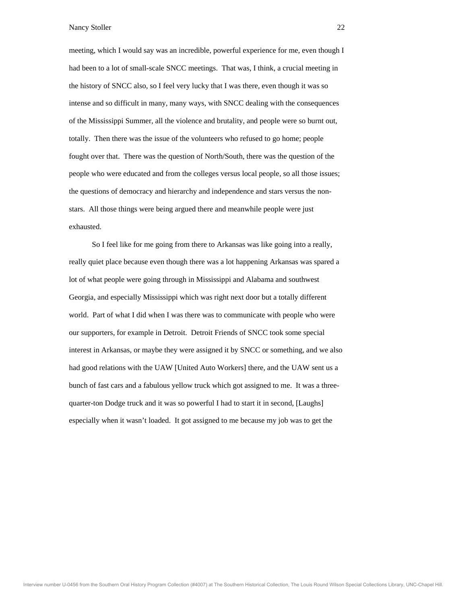meeting, which I would say was an incredible, powerful experience for me, even though I had been to a lot of small-scale SNCC meetings. That was, I think, a crucial meeting in the history of SNCC also, so I feel very lucky that I was there, even though it was so inte nse and so difficult in many, many ways, with SNCC dealing with the consequences of th e Mississippi Summer, all the violence and brutality, and people were so burnt out, tota lly. Then there was the issue of the volunteers who refused to go home; people fought over that. There was the question of North/South, there was the question of the people who were educated and from the colleges versus local people, so all those issues; the questions of democracy and hierarchy and independence and stars versus the nonstar s. All those things were being argued there and meanwhile people were just exha usted.

really quiet place because even though there was a lot happening Arkansas was spared a lot of what people were going through in Mississippi and Alabama and southwest Georgia, and especially Mississippi which was right next door but a totally different wor ld. Part of what I did when I was there was to communicate with people who were our supporters, for example in Detroit. Detroit Friends of SNCC took some special inter est in Arkansas, or maybe they were assigned it by SNCC or something, and we also had good relations with the UAW [United Auto Workers] there, and the UAW sent us a bunch of fast cars and a fabulous yellow truck which got assigned to me. It was a threequar ter-ton Dodge truck and it was so powerful I had to start it in second, [Laughs] espe cially when it wasn't loaded. It got assigned to me because my job was to get the So I feel like for me going from there to Arkansas was like going into a really,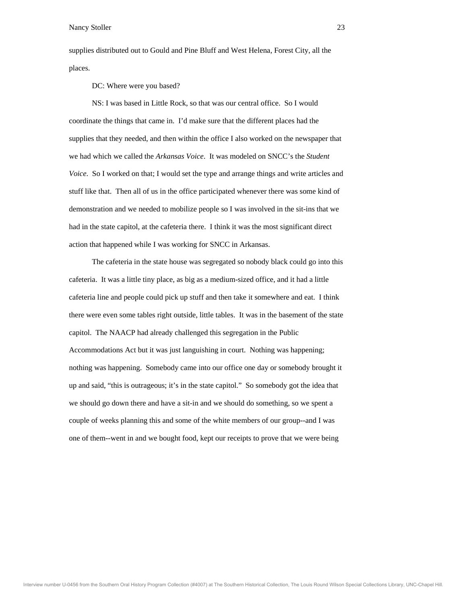supplies distributed out to Gould and Pine Bluff and West Helena, Forest City, all the places.

DC: Where were you based?

NS: I was based in Little Rock, so that was our central office. So I would coordinate the things that came in. I'd make sure that the different places had the supp lies that they needed, and then within the office I also worked on the newspaper that we had which we called the *Arkansas Voice*. It was modeled on SNCC's the *Student Voice*. So I worked on that; I would set the type and arrange things and write articles and stuf f like that. Then all of us in the office participated whenever there was some kind of dem onstration and we needed to mobilize people so I was involved in the sit-ins that we had in the state capitol, at the cafeteria there. I think it was the most significant direct acti on that happened while I was working for SNCC in Arkansas.

 The cafeteria in the state house was segregated so nobody black could go into this cafeteria. It was a little tiny place, as big as a medium-sized office, and it had a little cafeteria line and people could pick up stuff and then take it somewhere and eat. I think there were even some tables right outside, little tables. It was in the basement of the state capi tol. The NAACP had already challenged this segregation in the Public Acc ommodations Act but it was just languishing in court. Nothing was happening; nothing was happening. Somebody came into our office one day or somebody brought it up and said, "this is outrageous; it's in the state capitol." So somebody got the idea that we s hould go down there and have a sit-in and we should do something, so we spent a cou ple of weeks planning this and some of the white members of our group--and I was one of them--went in and we bought food, kept our receipts to prove that we were being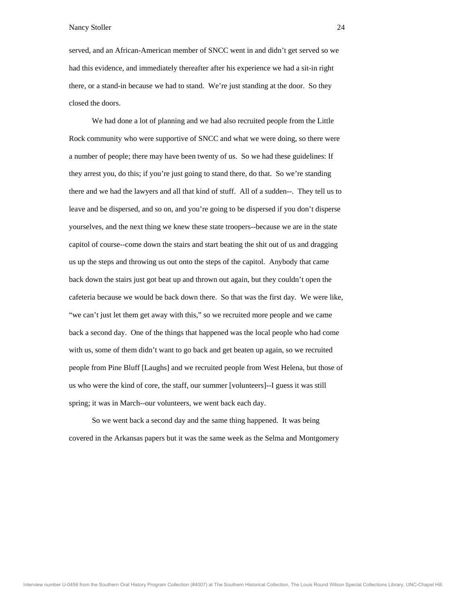served, and an African-American member of SNCC went in and didn't get served so we had this evidence, and immediately thereafter after his experience we had a sit-in right ther e, or a stand-in because we had to stand. We're just standing at the door. So they clos ed the doors.

We had done a lot of planning and we had also recruited people from the Little Rock commu nity who were supportive of SNCC and what we were doing, so there were a number of people; there may have been twenty of us. So we had these guidelines: If they arrest you, do this; if you're just going to stand there, do that. So we're standing ther e and we had the lawyers and all that kind of stuff. All of a sudden--. They tell us to leav e and be dispersed, and so on, and you're going to be dispersed if you don't disperse you rselves, and the next thing we knew these state troopers--because we are in the state capi tol of course--come down the stairs and start beating the shit out of us and dragging us up the steps and throwing us out onto the steps of the capitol. Anybody that came back down the stairs just got beat up and thrown out again, but they couldn't open the cafe teria because we would be back down there. So that was the first day. We were like, "we can't just let them get away with this," so we recruited more people and we came back a second day. One of the things that happened was the local people who had come with us, some of them didn't want to go back and get beaten up again, so we recruited people from Pine Bluff [Laughs] and we recruited people from West Helena, but those of us who were the kind of core, the staff, our summer [volunteers]--I guess it was still spri ng; it was in March--our volunteers, we went back each day.

cove red in the Arkansas papers but it was the same week as the Selma and Montgomery So we went back a second day and the same thing happened. It was being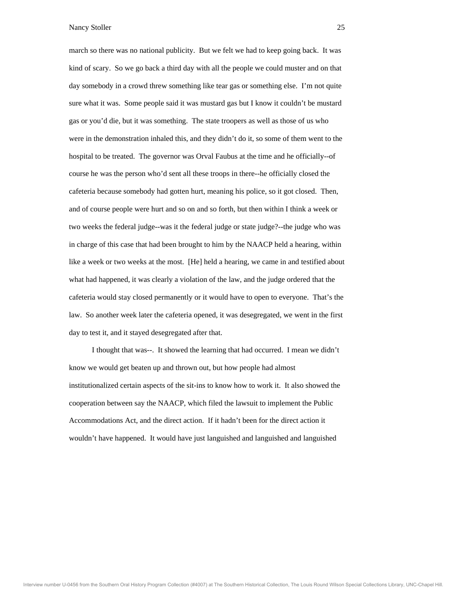march so there was no national publicity. But we felt we had to keep going back. It was kind of scary. So we go back a third day with all the people we could muster and on that day somebody in a crowd threw something like tear gas or something else. I'm not quite sure what it was. Some people said it was mustard gas but I know it couldn't be mustard gas or you'd die, but it was something. The state troopers as well as those of us who wer e in the demonstration inhaled this, and they didn't do it, so some of them went to the hospital to be treated. The governor was Orval Faubus at the time and he officially--of course he was the person who'd sent all these troops in there--he officially closed the cafe teria because somebody had gotten hurt, meaning his police, so it got closed. Then, and of course people were hurt and so on and so forth, but then within I think a week or two weeks the federal judge--was it the federal judge or state judge?--the judge who was in c harge of this case that had been brought to him by the NAACP held a hearing, within like a week or two weeks at the most. [He] held a hearing, we came in and testified about what had happened, it was clearly a violation of the law, and the judge ordered that the cafe teria would stay closed permanently or it would have to open to everyone. That's the law. So another week later the cafeteria opened, it was desegregated, we went in the first day to test it, and it stayed desegregated after that.

know we would get beaten up and thrown out, but how people had almost institutionalized certain aspects of the sit-ins to know how to work it. It also showed the cooperation between say the NAACP, which filed the lawsuit to implement the Public Accommoda tions Act, and the direct action. If it hadn't been for the direct action it wou ldn't have happened. It would have just languished and languished and languished I thought that was--. It showed the learning that had occurred. I mean we didn't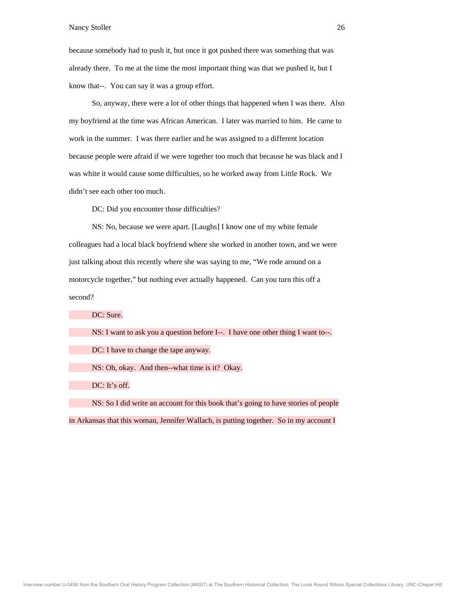because somebody had to push it, but once it got pushed there was something that was already there. To me at the time the most important thing was that we pushed it, but I kno w that--. You can say it was a group effort.

So, anyway, there were a lot of other things that happened when I was there. Also my boyfriend at the time was African American. I later was married to him. He came to wor k in the summer. I was there earlier and he was assigned to a different location because people were afraid if we were together too much that because he was black and I was white it would cause some difficulties, so he worked away from Little Rock. We didn 't see each other too much.

DC: Did you encounter those difficulties?

NS: No, because we were apart. [Laughs] I know one of my white female colleagues had a local black boyfriend where she worked in another town, and we were just talking about this recently where she was saying to me, "We rode around on a motorcycle together," but nothing ever actually happened. Can you turn this off a second?

DC: Sure. NS: I want to ask you a question before I--. I have one other thing I want to--. DC: I have to change the tape anyway. NS: Oh, okay. And then--what time is it? Okay. DC: It's off. NS: So I did write an account for this book that's going to have stories of people

in Arkansas that this woman, Jennifer Wallach, is putting together. So in my account I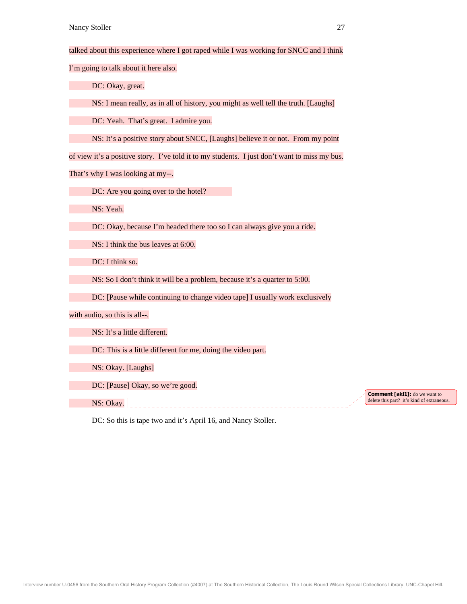talked about this experience where I got raped while I was working for SNCC and I think

I'm going to talk about it here also.

DC: Okay, great.

NS: I mean really, as in all of history, you might as well tell the truth. [Laughs]

DC: Yeah. That's great. I admire you.

NS: It's a positive story about SNCC, [Laughs] believe it or not. From my point

of view it's a positive story. I've told it to my students. I just don't want to miss my bus.

That's why I was looking at my--.

DC: Are you going over to the hotel?

NS: Yeah.

DC: Okay, because I'm headed there too so I can always give you a ride.

NS: I think the bus leaves at 6:00.

DC: I think so.

NS: So I don't think it will be a problem, because it's a quarter to 5:00.

DC: [Pause while continuing to change video tape] I usually work exclusively

with audio, so this is all--.

NS: It's a little different.

DC: This is a little different for me, doing the video part.

NS: Okay. [Laughs]

DC: [Pause] Okay, so we're good.

NS: Okay.

**Comment [akl1]:** do we want to delete this part? it's kind of extraneous.

DC: So this is tape two and it's April 16, and Nancy Stoller.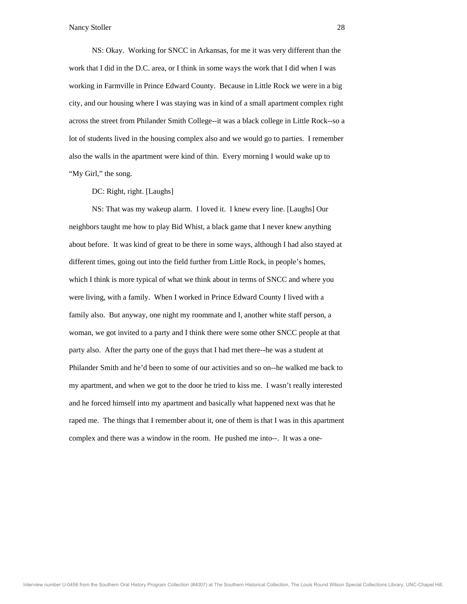NS: Okay. Working for SNCC in Arkansas, for me it was very different than the work that I did in the D.C. area, or I think in some ways the work that I did when I was wor king in Farmville in Prince Edward County. Because in Little Rock we were in a big city, and our housing where I was staying was in kind of a small apartment complex right acro ss the street from Philander Smith College--it was a black college in Little Rock--so a lot o f students lived in the housing complex also and we would go to parties. I remember also the walls in the apartment were kind of thin. Every morning I would wake up to "My Girl," the song.

DC: Right, right. [Laughs]

NS: That was my wakeup alarm. I loved it. I knew every line. [Laughs] Our neighbors taught me how to play Bid Whist, a black game that I never knew anything about before. It was kind of great to be there in some ways, although I had also stayed at different times, going out into the field further from Little Rock, in people's homes, which I think is more typical of what we think about in terms of SNCC and where you wer e living, with a family. When I worked in Prince Edward County I lived with a fam ily also. But anyway, one night my roommate and I, another white staff person, a wom an, we got invited to a party and I think there were some other SNCC people at that part y also. After the party one of the guys that I had met there--he was a student at Philander Smith and he'd been to some of our activities and so on--he walked me back to my apartment, and when we got to the door he tried to kiss me. I wasn't really interested and he forced himself into my apartment and basically what happened next was that he rape d me. The things that I remember about it, one of them is that I was in this apartment com plex and there was a window in the room. He pushed me into--. It was a one-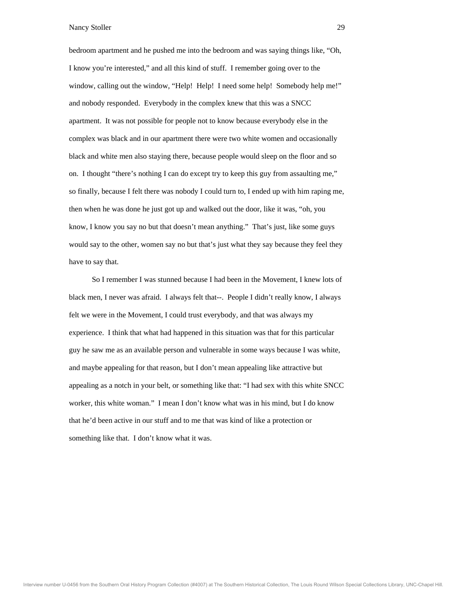bedroom apartment and he pushed me into the bedroom and was saying things like, "Oh, I know you're interested," and all this kind of stuff. I remember going over to the win dow, calling out the window, "Help! Help! I need some help! Somebody help me!" and nobody responded. Everybody in the complex knew that this was a SNCC apar tment. It was not possible for people not to know because everybody else in the com plex was black and in our apartment there were two white women and occasionally black and white men also staying there, because people would sleep on the floor and so on. I thought "there's nothing I can do except try to keep this guy from assaulting me," so f inally, because I felt there was nobody I could turn to, I ended up with him raping me, then when he was done he just got up and walked out the door, like it was, "oh, you kno w, I know you say no but that doesn't mean anything." That's just, like some guys wou ld say to the other, women say no but that's just what they say because they feel they have to say that.

 So I remember I was stunned because I had been in the Movement, I knew lots of blac k men, I never was afraid. I always felt that--. People I didn't really know, I always felt we were in the Movement, I could trust everybody, and that was always my experience. I think that what had happened in this situation was that for this particular guy he saw me as an available person and vulnerable in some ways because I was white, and maybe appealing for that reason, but I don't mean appealing like attractive but appealing as a notch in your belt, or something like that: "I had sex with this white SNCC wor ker, this white woman." I mean I don't know what was in his mind, but I do know that he'd been active in our stuff and to me that was kind of like a protection or som ething like that. I don't know what it was.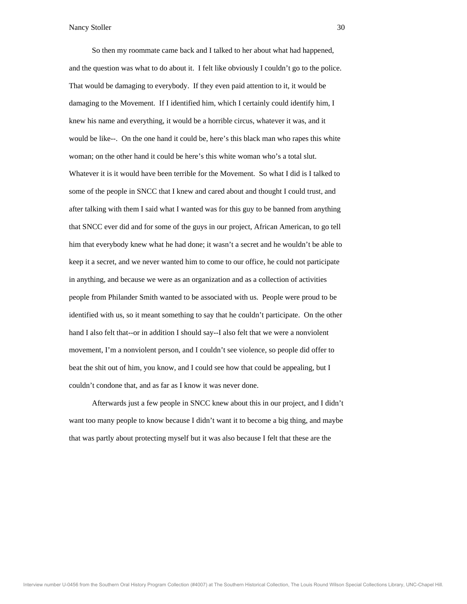So then my roommate came back and I talked to her about what had happened, and the question was what to do about it. I felt like obviously I couldn't go to the police. Tha t would be damaging to everybody. If they even paid attention to it, it would be dam aging to the Movement. If I identified him, which I certainly could identify him, I knew his name and everything, it would be a horrible circus, whatever it was, and it wou ld be like--. On the one hand it could be, here's this black man who rapes this white woman; on the other hand it could be here's this white woman who's a total slut. Whatever it is it would have been terrible for the Movement. So what I did is I talked to som e of the people in SNCC that I knew and cared about and thought I could trust, and afte r talking with them I said what I wanted was for this guy to be banned from anything that SNCC ever did and for some of the guys in our project, African American, to go tell him that everybody knew what he had done; it wasn't a secret and he wouldn't be able to keep it a secret, and we never wanted him to come to our office, he could not participate in anything, and because we were as an organization and as a collection of activities peo ple from Philander Smith wanted to be associated with us. People were proud to be iden tified with us, so it meant something to say that he couldn't participate. On the other han d I also felt that--or in addition I should say--I also felt that we were a nonviolent mov ement, I'm a nonviolent person, and I couldn't see violence, so people did offer to beat the shit out of him, you know, and I could see how that could be appealing, but I couldn't condone that, and as far as I know it was never done.

wan t too many people to know because I didn't want it to become a big thing, and maybe that was partly about protecting myself but it was also because I felt that these are the Afterwards just a few people in SNCC knew about this in our project, and I didn't

Interview number U-0456 from the Southern Oral History Program Collection (#4007) at The Southern Historical Collection, The Louis Round Wilson Special Collections Library, UNC-Chapel Hill.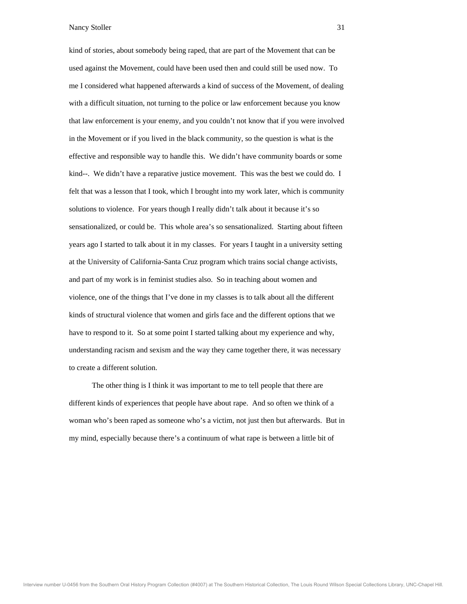kind of stories, about somebody being raped, that are part of the Movement that can be used against the Movement, could have been used then and could still be used now. To me I considered what happened afterwards a kind of success of the Movement, of dealing with a difficult situation, not turning to the police or law enforcement because you know that law enforcement is your enemy, and you couldn't not know that if you were involved in th e Movement or if you lived in the black community, so the question is what is the effective and responsible way to handle this. We didn't have community boards or some kind--. We didn't have a reparative justice movement. This was the best we could do. I felt that was a lesson that I took, which I brought into my work later, which is community solutions to violence. For years though I really didn't talk about it because it's so sens ationalized, or could be. This whole area's so sensationalized. Starting about fifteen year s ago I started to talk about it in my classes. For years I taught in a university setting at the University of California-Santa Cruz program which trains social change activists, and part of my work is in feminist studies also. So in teaching about women and viol ence, one of the things that I've done in my classes is to talk about all the different kind s of structural violence that women and girls face and the different options that we hav e to respond to it. So at some point I started talking about my experience and why, und erstanding racism and sexism and the way they came together there, it was necessary to create a different solution.

 The other thing is I think it was important to me to tell people that there are diff erent kinds of experiences that people have about rape. And so often we think of a wom an who's been raped as someone who's a victim, not just then but afterwards. But in my mind, especially because there's a continuum of what rape is between a little bit of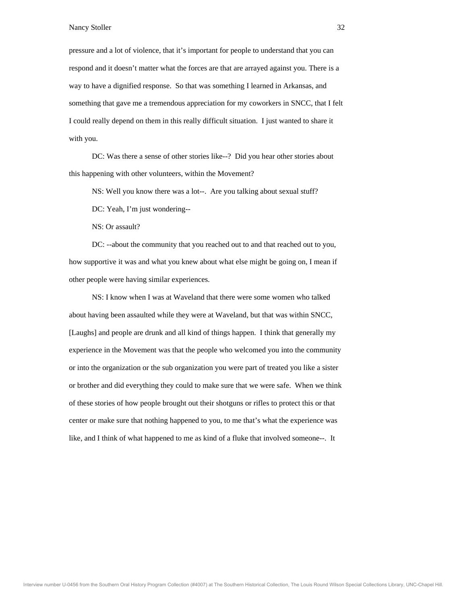pressure and a lot of violence, that it's important for people to understand that you can respond and it doesn't matter what the forces are that are arrayed against you. There is a way to have a dignified response. So that was something I learned in Arkansas, and som ething that gave me a tremendous appreciation for my coworkers in SNCC, that I felt I co uld really depend on them in this really difficult situation. I just wanted to share it with you.

 DC: Was there a sense of other stories like--? Did you hear other stories about this happening with other volunteers, within the Movement?

NS: W ell you know there was a lot--. Are you talking about sexual stuff?

DC: Yeah, I'm just wondering--

NS: O r assault?

DC: --about the community that you reached out to and that reached out to you, how supportive it was and what you knew about what else might be going on, I mean if other people were having similar experiences.

 NS: I know when I was at Waveland that there were some women who talked abo ut having been assaulted while they were at Waveland, but that was within SNCC, [Laughs] and people are drunk and all kind of things happen. I think that generally my experience in the Movement was that the people who welcomed you into the community or into the organization or the sub organization you were part of treated you like a sister or brother and did everything they could to make sure that we were safe. When we think of th ese stories of how people brought out their shotguns or rifles to protect this or that cent er or make sure that nothing happened to you, to me that's what the experience was like , and I think of what happened to me as kind of a fluke that involved someone--. It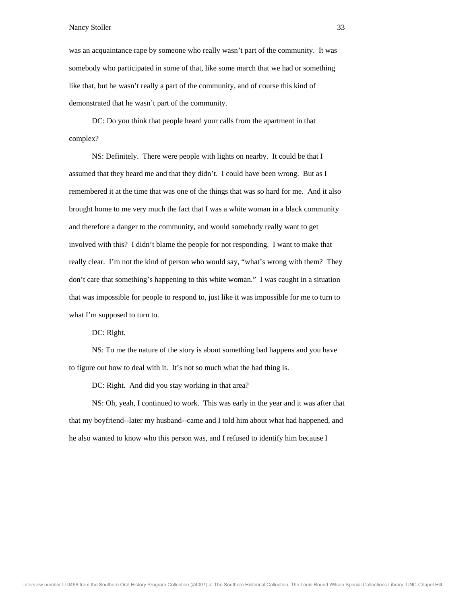was an acquaintance rape by someone who really wasn't part of the community. It was somebody who participated in some of that, like some march that we had or something like that, but he wasn't really a part of the community, and of course this kind of dem onstrated that he wasn't part of the community.

DC: Do you think that people heard your calls from the apartment in that complex?

 NS: Definitely. There were people with lights on nearby. It could be that I assumed that they heard me and that they didn't. I could have been wrong. But as I remembered it at the time that was one of the things that was so hard for me. And it also brou ght home to me very much the fact that I was a white woman in a black community and therefore a danger to the community, and would somebody really want to get invo lved with this? I didn't blame the people for not responding. I want to make that really clear. I'm not the kind of person who would say, "what's wrong with them? They don't care that something's happening to this white woman." I was caught in a situation that was impossible for people to respond to, just like it was impossible for me to turn to what I'm supposed to turn to.

DC: Right.

to figure out how to deal with it. It's not so much what the bad thing is. NS: To me the nature of the story is about something bad happens and you have

DC: Right. And did you stay working in that area?

NS: Oh, yeah, I continued to work. This was early in the year and it was after that that my boyfriend--later my husband--came and I told him about what had happened, and he a lso wanted to know who this person was, and I refused to identify him because I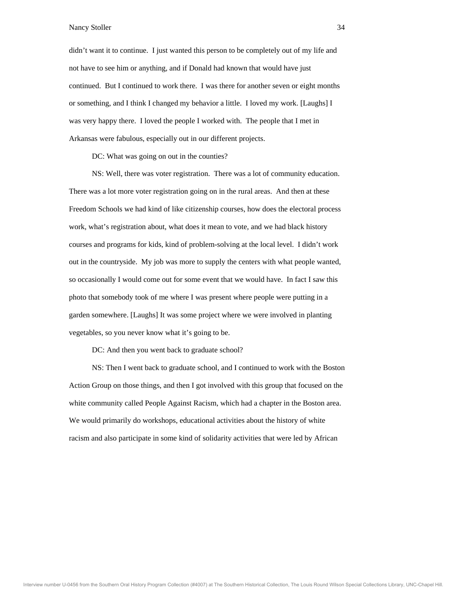didn't want it to continue. I just wanted this person to be completely out of my life and not have to see him or anything, and if Donald had known that would have just cont inued. But I continued to work there. I was there for another seven or eight months or s omething, and I think I changed my behavior a little. I loved my work. [Laughs] I was very happy there. I loved the people I worked with. The people that I met in Ark ansas were fabulous, especially out in our different projects.

DC: What was going on out in the counties?

 NS: Well, there was voter registration. There was a lot of community education. There was a lot more voter registration going on in the rural areas. And then at these Freedom Sch ools we had kind of like citizenship courses, how does the electoral process wor k, what's registration about, what does it mean to vote, and we had black history cour ses and programs for kids, kind of problem-solving at the local level. I didn't work out in the countryside. My job was more to supply the centers with what people wanted, so occasionally I would come out for some event that we would have. In fact I saw this pho to that somebody took of me where I was present where people were putting in a gard en somewhere. [Laughs] It was some project where we were involved in planting veg etables, so you never know what it's going to be.

DC: And then you went back to graduate school?

 NS: Then I went back to graduate school, and I continued to work with the Boston Action Group on those things, and then I got involved with this group that focused on the white community called People Against Racism, which had a chapter in the Boston area. We would primarily do workshops, educational activities about the history of white racism and also participate in some kind of solidarity activities that were led by African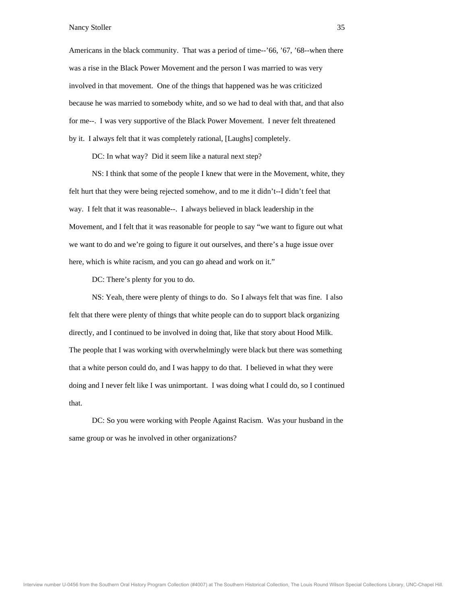Americans in the black community. That was a period of time--'66, '67, '68--when there was a rise in the Black Power Movement and the person I was married to was very invo lved in that movement. One of the things that happened was he was criticized beca use he was married to somebody white, and so we had to deal with that, and that also for m e--. I was very supportive of the Black Power Movement. I never felt threatened by i t. I always felt that it was completely rational, [Laughs] completely.

DC: In what way? Did it seem like a natural next step?

 NS: I think that some of the people I knew that were in the Movement, white, they felt hurt that they were being rejected somehow, and to me it didn't--I didn't feel that way. I felt that it was reasonable--. I always believed in black leadership in the Mov ement, and I felt that it was reasonable for people to say "we want to figure out what we w ant to do and we're going to figure it out ourselves, and there's a huge issue over here, which is white racism, and you can go ahead and work on it."

DC: There's plenty for you to do.

felt that there were plenty of things that white people can do to support black organizing directly, and I continued to be involved in doing that, like that story about Hood Milk. The people that I was working with overwhelmingly were black but there was something that a white person could do, and I was happy to do that. I believed in what they were doing and I never felt like I was unimportant. I was doing what I could do, so I continued that . NS: Yeah, there were plenty of things to do. So I always felt that was fine. I also

sam e group or was he involved in other organizations? DC: So you were working with People Against Racism. Was your husband in the

Interview number U-0456 from the Southern Oral History Program Collection (#4007) at The Southern Historical Collection, The Louis Round Wilson Special Collections Library, UNC-Chapel Hill.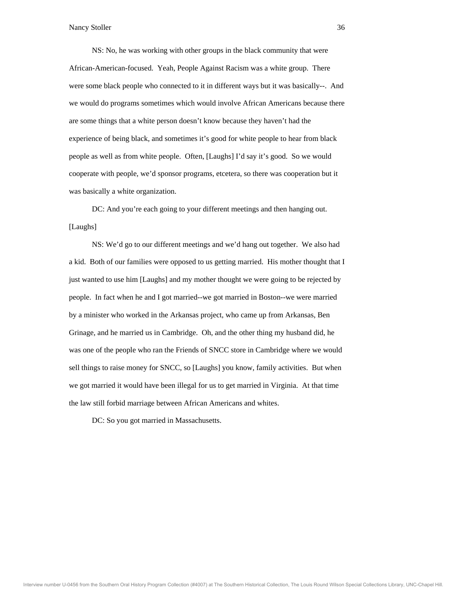NS: No, he was working with other groups in the black community that were African-American-focused. Yeah, People Against Racism was a white group. There were some black people who connected to it in different ways but it was basically--. And we w ould do programs sometimes which would involve African Americans because there are some things that a white person doesn't know because they haven't had the exp erience of being black, and sometimes it's good for white people to hear from black people as well as from white people. Often, [Laughs] I'd say it's good. So we would cooperate with people, we'd sponsor programs, etcetera, so there was cooperation but it was basically a white organization.

[Lau ghs] DC: And you're each going to your different meetings and then hanging out.

 NS: W e'd go to our different meetings and we'd hang out together. We also had a kid. Both of our families were opposed to us getting married. His mother thought that I just wanted to use him [Laughs] and my mother thought we were going to be rejected by people. In fact when he and I got married--we got married in Boston--we were married by a minister who worked in the Arkansas project, who came up from Arkansas, Ben Grin age, and he married us in Cambridge. Oh, and the other thing my husband did, he was one of the people who ran the Friends of SNCC store in Cambridge where we would sell things to raise money for SNCC, so [Laughs] you know, family activities. But when we got married it would have been illegal for us to get married in Virginia. At that time the l aw still forbid marriage between African Americans and whites.

DC: So you got married in Massachusetts.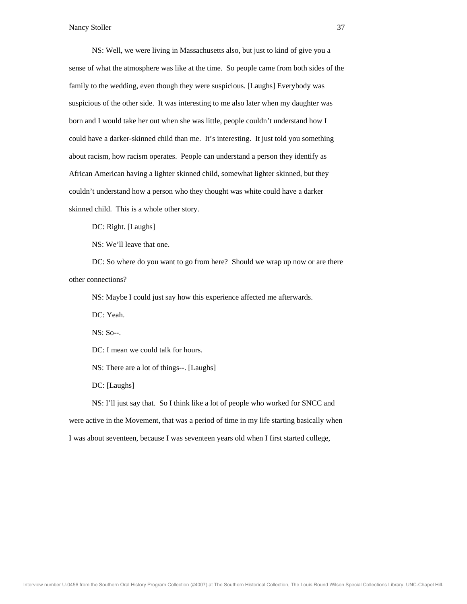NS: Well, we were living in Massachusetts also, but just to kind of give you a sense of what the atmosphere was like at the time. So people came from both sides of the fam ily to the wedding, even though they were suspicious. [Laughs] Everybody was susp icious of the other side. It was interesting to me also later when my daughter was born and I would take her out when she was little, people couldn't understand how I coul d have a darker-skinned child than me. It's interesting. It just told you something about racism, how racism operates. People can understand a person they identify as African American having a lighter skinned child, somewhat lighter skinned, but they coul dn't understand how a person who they thought was white could have a darker skin ned child. This is a whole other story.

DC: Right. [Laughs]

NS: We'll leave that one.

 DC: So where do you want to go from here? Should we wrap up now or are there other connections?

NS: Maybe I could just say how this experience affected me afterwards.

DC: Y eah.

NS: So--.

DC: I mean we could talk for hours.

NS: There are a lot of things--. [Laughs]

DC: [Laughs]

NS: I'll just say that. So I think like a lot of people who worked for SNCC and were active in the Movement, that was a period of time in my life starting basically when I was about seventeen, because I was seventeen years old when I first started college,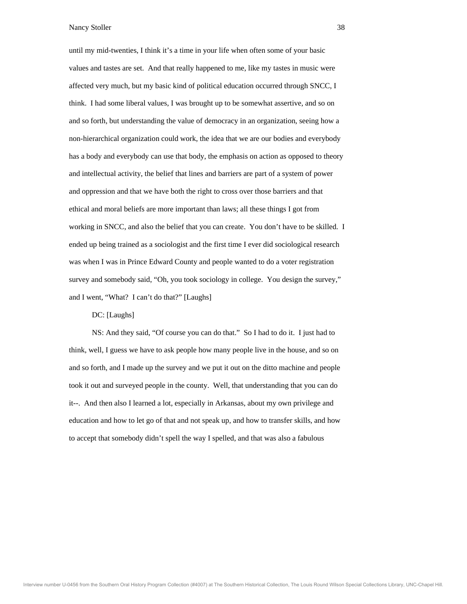until my mid-twenties, I think it's a time in your life when often some of your basic values and tastes are set. And that really happened to me, like my tastes in music were affe cted very much, but my basic kind of political education occurred through SNCC, I thin k. I had some liberal values, I was brought up to be somewhat assertive, and so on and so forth, but understanding the value of democracy in an organization, seeing how a non -hierarchical organization could work, the idea that we are our bodies and everybody has a body and everybody can use that body, the emphasis on action as opposed to theory and intellectual activity, the belief that lines and barriers are part of a system of power and oppression and that we have both the right to cross over those barriers and that ethi cal and moral beliefs are more important than laws; all these things I got from wor king in SNCC, and also the belief that you can create. You don't have to be skilled. I ende d up being trained as a sociologist and the first time I ever did sociological research was when I was in Prince Edward County and people wanted to do a voter registration survey and somebody said, "Oh, you took sociology in college. You design the survey," and I went, "What? I can't do that?" [Laughs]

## DC: [Laughs]

think, well, I guess we have to ask people how many people live in the house, and so on and so forth, and I made up the survey and we put it out on the ditto machine and people took it out and surveyed people in the county. Well, that understanding that you can do it--. And then also I learned a lot, especially in Arkansas, about my own privilege and educ ation and how to let go of that and not speak up, and how to transfer skills, and how to a ccept that somebody didn't spell the way I spelled, and that was also a fabulous NS: And they said, "Of course you can do that." So I had to do it. I just had to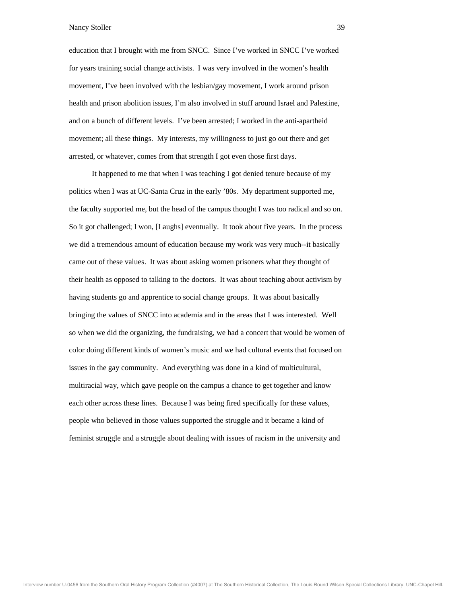education that I brought with me from SNCC. Since I've worked in SNCC I've worked for years training social change activists. I was very involved in the women's health mov ement, I've been involved with the lesbian/gay movement, I work around prison heal th and prison abolition issues, I'm also involved in stuff around Israel and Palestine, and on a bunch of different levels. I've been arrested; I worked in the anti-apartheid mov ement; all these things. My interests, my willingness to just go out there and get arrested, or whatever, comes from that strength I got even those first days.

 It happened to me that when I was teaching I got denied tenure because of my poli tics when I was at UC-Santa Cruz in the early '80s. My department supported me, the faculty supported me, but the head of the campus thought I was too radical and so on. So i t got challenged; I won, [Laughs] eventually. It took about five years. In the process we d id a tremendous amount of education because my work was very much--it basically came out of these values. It was about asking women prisoners what they thought of their health as opposed to talking to the doctors. It was about teaching about activism by hav ing students go and apprentice to social change groups. It was about basically brin ging the values of SNCC into academia and in the areas that I was interested. Well so w hen we did the organizing, the fundraising, we had a concert that would be women of colo r doing different kinds of women's music and we had cultural events that focused on issues in the gay community. And everything was done in a kind of multicultural, multiracial way, which gave people on the campus a chance to get together and know each other across these lines. Because I was being fired specifically for these values, peo ple who believed in those values supported the struggle and it became a kind of fem inist struggle and a struggle about dealing with issues of racism in the university and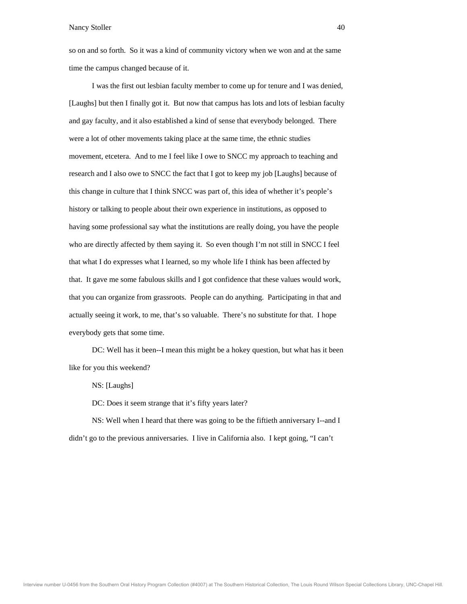so on and so forth. So it was a kind of community victory when we won and at the same time the campus changed because of it.

I was the first out lesbian faculty member to come up for tenure and I was denied, [Laughs] but then I finally got it. But now that campus has lots and lots of lesbian faculty and gay faculty, and it also established a kind of sense that everybody belonged. There wer e a lot of other movements taking place at the same time, the ethnic studies movement, etcetera. And to me I feel like I owe to SNCC my approach to teaching and research and I also owe to SNCC the fact that I got to keep my job [Laughs] because of this change in culture that I think SNCC was part of, this idea of whether it's people's hist ory or talking to people about their own experience in institutions, as opposed to hav ing some professional say what the institutions are really doing, you have the people who are directly affected by them saying it. So even though I'm not still in SNCC I feel that what I do expresses what I learned, so my whole life I think has been affected by that. It gave me some fabulous skills and I got confidence that these values would work, that you can organize from grassroots. People can do anything. Participating in that and actu ally seeing it work, to me, that's so valuable. There's no substitute for that. I hope ever ybody gets that some time.

like for you this weekend? DC: Well has it been--I mean this might be a hokey question, but what has it been

NS: [Laughs]

DC: Does it seem strange that it's fifty years later?

 NS: W ell when I heard that there was going to be the fiftieth anniversary I--and I didn't go to the previous anniversaries. I live in California also. I kept going, "I can't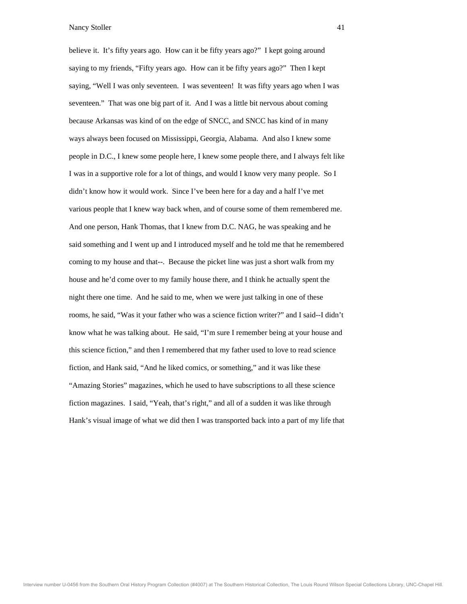believe it. It's fifty years ago. How can it be fifty years ago?" I kept going around saying to my friends, "Fifty years ago. How can it be fifty years ago?" Then I kept sayi ng, "Well I was only seventeen. I was seventeen! It was fifty years ago when I was seve nteen." That was one big part of it. And I was a little bit nervous about coming beca use Arkansas was kind of on the edge of SNCC, and SNCC has kind of in many way s always been focused on Mississippi, Georgia, Alabama. And also I knew some people in D.C., I knew some people here, I knew some people there, and I always felt like I was in a supportive role for a lot of things, and would I know very many people. So I didn 't know how it would work. Since I've been here for a day and a half I've met vari ous people that I knew way back when, and of course some of them remembered me. And one person, Hank Thomas, that I knew from D.C. NAG, he was speaking and he said something and I went up and I introduced myself and he told me that he remembered coming to my house and that--. Because the picket line was just a short walk from my house and he'd come over to my family house there, and I think he actually spent the nigh t there one time. And he said to me, when we were just talking in one of these room s, he said, "Was it your father who was a science fiction writer?" and I said--I didn't kno w what he was talking about. He said, "I'm sure I remember being at your house and this science fiction," and then I remembered that my father used to love to read science fiction, and Hank said, "And he liked comics, or something," and it was like these "Amazing Stories" magazines, which he used to have subscriptions to all these science ficti on magazines. I said, "Yeah, that's right," and all of a sudden it was like through Han k's visual image of what we did then I was transported back into a part of my life that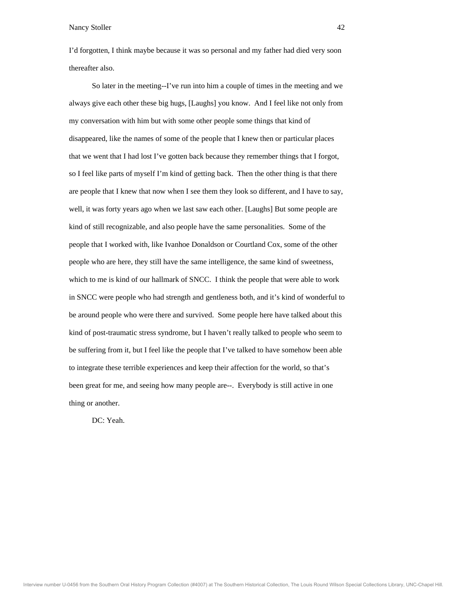I'd forgotten, I think maybe because it was so personal and my father had died very soon thereafter also.

So later in the meeting--I've run into him a couple of times in the meeting and we always give each other these big hugs, [Laughs] you know. And I feel like not only from my conversation with him but with some other people some things that kind of disa ppeared, like the names of some of the people that I knew then or particular places that we went that I had lost I've gotten back because they remember things that I forgot, so I feel like parts of myself I'm kind of getting back. Then the other thing is that there are people that I knew that now when I see them they look so different, and I have to say, wel l, it was forty years ago when we last saw each other. [Laughs] But some people are kind of still recognizable, and also people have the same personalities. Some of the peo ple that I worked with, like Ivanhoe Donaldson or Courtland Cox, some of the other people who are here, they still have the same intelligence, the same kind of sweetness, which to me is kind of our hallmark of SNCC. I think the people that were able to work in S NCC were people who had strength and gentleness both, and it's kind of wonderful to be a round people who were there and survived. Some people here have talked about this kind of post-traumatic stress syndrome, but I haven't really talked to people who seem to be s uffering from it, but I feel like the people that I've talked to have somehow been able to integrate these terrible experiences and keep their affection for the world, so that's been great for me, and seeing how many people are--. Everybody is still active in one thin g or another.

DC: Yeah.